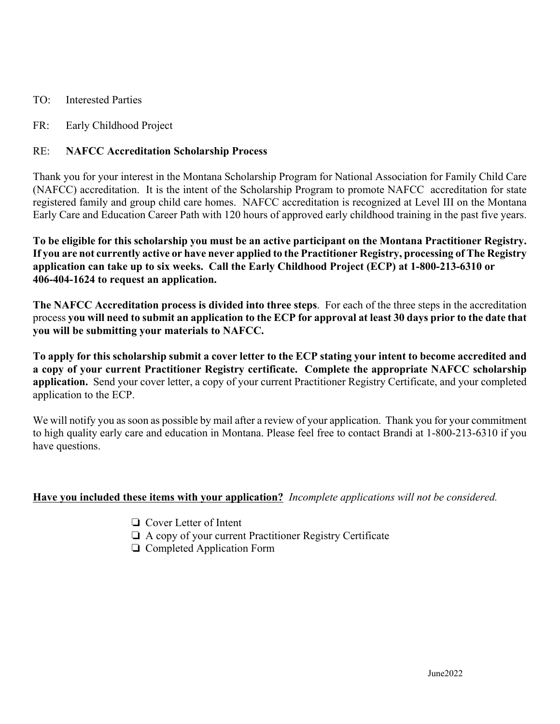- TO: Interested Parties
- FR: Early Childhood Project

## RE: **NAFCC Accreditation Scholarship Process**

Thank you for your interest in the Montana Scholarship Program for National Association for Family Child Care (NAFCC) accreditation. It is the intent of the Scholarship Program to promote NAFCC accreditation for state registered family and group child care homes. NAFCC accreditation is recognized at Level III on the Montana Early Care and Education Career Path with 120 hours of approved early childhood training in the past five years.

**To be eligible for this scholarship you must be an active participant on the Montana Practitioner Registry. If you are not currently active or have never applied to the Practitioner Registry, processing of The Registry application can take up to six weeks. Call the Early Childhood Project (ECP) at 1-800-213-6310 or 406-404-1624 to request an application.**

**The NAFCC Accreditation process is divided into three steps**. For each of the three steps in the accreditation process **you will need to submit an application to the ECP for approval at least 30 days prior to the date that you will be submitting your materials to NAFCC.**

**To apply for this scholarship submit a cover letter to the ECP stating your intent to become accredited and a copy of your current Practitioner Registry certificate. Complete the appropriate NAFCC scholarship application.** Send your cover letter, a copy of your current Practitioner Registry Certificate, and your completed application to the ECP.

We will notify you as soon as possible by mail after a review of your application. Thank you for your commitment to high quality early care and education in Montana. Please feel free to contact Brandi at 1-800-213-6310 if you have questions.

## **Have you included these items with your application?** *Incomplete applications will not be considered.*

- $\Box$  Cover Letter of Intent
- $\Box$  A copy of your current Practitioner Registry Certificate
- $\Box$  Completed Application Form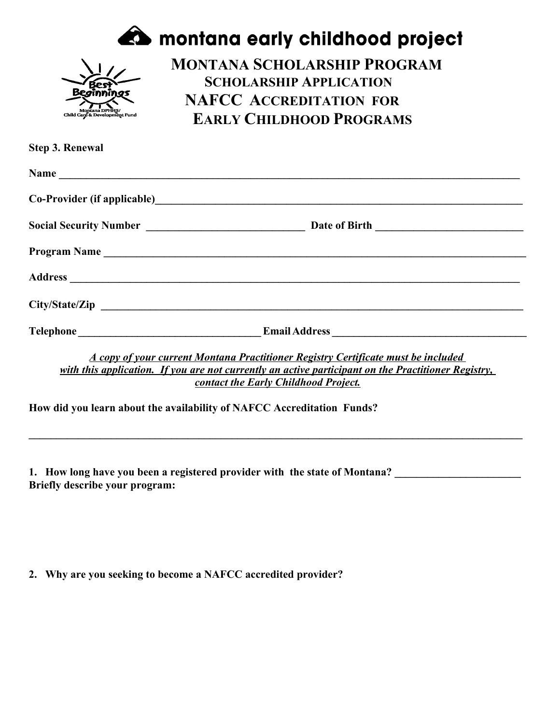|                                                 | <b>A</b> montana early childhood project                                                                                                                                                                                         |
|-------------------------------------------------|----------------------------------------------------------------------------------------------------------------------------------------------------------------------------------------------------------------------------------|
| Montana DPHHS/<br>Child Care & Development Fund | <b>MONTANA SCHOLARSHIP PROGRAM</b><br><b>SCHOLARSHIP APPLICATION</b><br><b>NAFCC ACCREDITATION FOR</b><br><b>EARLY CHILDHOOD PROGRAMS</b>                                                                                        |
| <b>Step 3. Renewal</b>                          |                                                                                                                                                                                                                                  |
|                                                 |                                                                                                                                                                                                                                  |
|                                                 |                                                                                                                                                                                                                                  |
|                                                 |                                                                                                                                                                                                                                  |
|                                                 | Program Name                                                                                                                                                                                                                     |
|                                                 |                                                                                                                                                                                                                                  |
|                                                 |                                                                                                                                                                                                                                  |
|                                                 |                                                                                                                                                                                                                                  |
|                                                 | A copy of your current Montana Practitioner Registry Certificate must be included<br>with this application. If you are not currently an active participant on the Practitioner Registry,<br>contact the Early Childhood Project. |
|                                                 | How did you learn about the availability of NAFCC Accreditation Funds?                                                                                                                                                           |
|                                                 |                                                                                                                                                                                                                                  |

**1. How long have you been a registered provider with the state of Montana? \_\_\_\_\_\_\_\_\_\_\_\_\_\_\_\_\_\_\_\_\_\_\_ Briefly describe your program:**

**2. Why are you seeking to become a NAFCC accredited provider?**